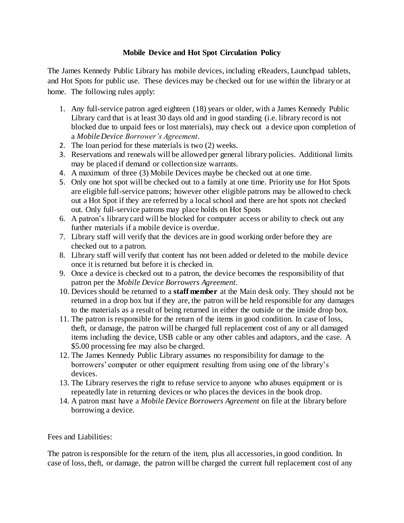## **Mobile Device and Hot Spot Circulation Policy**

The James Kennedy Public Library has mobile devices, including eReaders, Launchpad tablets, and Hot Spots for public use. These devices may be checked out for use within the library or at home. The following rules apply:

- 1. Any full-service patron aged eighteen (18) years or older, with a James Kennedy Public Library card that is at least 30 days old and in good standing (i.e. library record is not blocked due to unpaid fees or lost materials), may check out a device upon completion of a *Mobile Device Borrower's Agreement*.
- 2. The loan period for these materials is two (2) weeks.
- 3. Reservations and renewals will be allowed per general library policies. Additional limits may be placed if demand or collection size warrants.
- 4. A maximum of three (3) Mobile Devices maybe be checked out at one time.
- 5. Only one hot spot will be checked out to a family at one time. Priority use for Hot Spots are eligible full-service patrons; however other eligible patrons may be allowed to check out a Hot Spot if they are referred by a local school and there are hot spots not checked out. Only full-service patrons may place holds on Hot Spots
- 6. A patron's library card will be blocked for computer access or ability to check out any further materials if a mobile device is overdue.
- 7. Library staff will verify that the devices are in good working order before they are checked out to a patron.
- 8. Library staff will verify that content has not been added or deleted to the mobile device once it is returned but before it is checked in.
- 9. Once a device is checked out to a patron, the device becomes the responsibility of that patron per the *Mobile Device Borrowers Agreement*.
- 10. Devices should be returned to a **staff member** at the Main desk only. They should not be returned in a drop box but if they are, the patron will be held responsible for any damages to the materials as a result of being returned in either the outside or the inside drop box.
- 11. The patron is responsible for the return of the items in good condition. In case of loss, theft, or damage, the patron will be charged full replacement cost of any or all damaged items including the device, USB cable or any other cables and adaptors, and the case. A \$5.00 processing fee may also be charged.
- 12. The James Kennedy Public Library assumes no responsibility for damage to the borrowers' computer or other equipment resulting from using one of the library's devices.
- 13. The Library reserves the right to refuse service to anyone who abuses equipment or is repeatedly late in returning devices or who places the devices in the book drop.
- 14. A patron must have a *Mobile Device Borrowers Agreement* on file at the library before borrowing a device.

## Fees and Liabilities:

The patron is responsible for the return of the item, plus all accessories, in good condition. In case of loss, theft, or damage, the patron will be charged the current full replacement cost of any